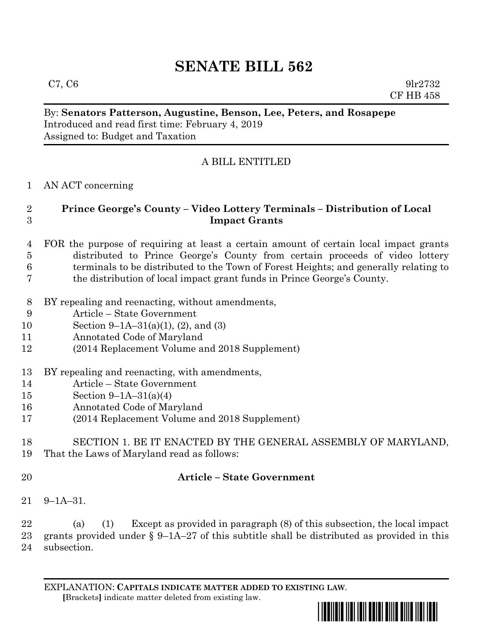# **SENATE BILL 562**

By: **Senators Patterson, Augustine, Benson, Lee, Peters, and Rosapepe** Introduced and read first time: February 4, 2019 Assigned to: Budget and Taxation

# A BILL ENTITLED

### AN ACT concerning

## **Prince George's County – Video Lottery Terminals – Distribution of Local Impact Grants**

#### FOR the purpose of requiring at least a certain amount of certain local impact grants distributed to Prince George's County from certain proceeds of video lottery terminals to be distributed to the Town of Forest Heights; and generally relating to the distribution of local impact grant funds in Prince George's County.

- BY repealing and reenacting, without amendments,
- Article State Government
- Section 9–1A–31(a)(1), (2), and (3)
- Annotated Code of Maryland
- (2014 Replacement Volume and 2018 Supplement)
- BY repealing and reenacting, with amendments,
- Article State Government
- Section 9–1A–31(a)(4)
- Annotated Code of Maryland
- (2014 Replacement Volume and 2018 Supplement)

## SECTION 1. BE IT ENACTED BY THE GENERAL ASSEMBLY OF MARYLAND, That the Laws of Maryland read as follows:

# **Article – State Government**

9–1A–31.

 (a) (1) Except as provided in paragraph (8) of this subsection, the local impact grants provided under § 9–1A–27 of this subtitle shall be distributed as provided in this subsection.

EXPLANATION: **CAPITALS INDICATE MATTER ADDED TO EXISTING LAW**.  **[**Brackets**]** indicate matter deleted from existing law.

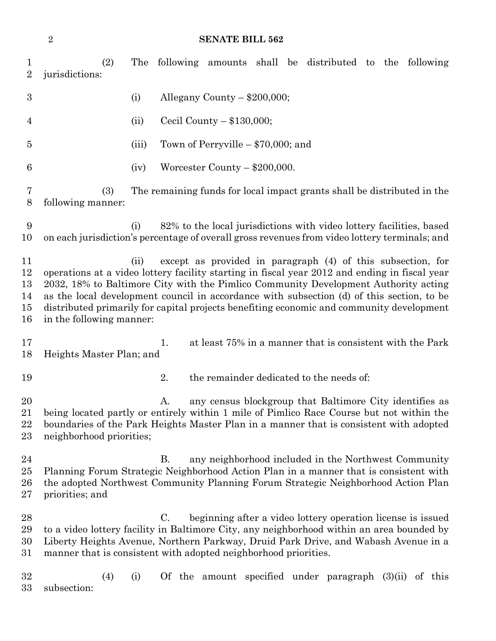#### **SENATE BILL 562**

 (2) The following amounts shall be distributed to the following jurisdictions: (i) Allegany County – \$200,000; (ii) Cecil County – \$130,000; (iii) Town of Perryville – \$70,000; and  $(iv)$  Worcester County – \$200,000. (3) The remaining funds for local impact grants shall be distributed in the following manner: (i) 82% to the local jurisdictions with video lottery facilities, based on each jurisdiction's percentage of overall gross revenues from video lottery terminals; and (ii) except as provided in paragraph (4) of this subsection, for operations at a video lottery facility starting in fiscal year 2012 and ending in fiscal year 2032, 18% to Baltimore City with the Pimlico Community Development Authority acting as the local development council in accordance with subsection (d) of this section, to be distributed primarily for capital projects benefiting economic and community development in the following manner: 17 1. at least 75% in a manner that is consistent with the Park Heights Master Plan; and 2. the remainder dedicated to the needs of: 20 A. any census blockgroup that Baltimore City identifies as being located partly or entirely within 1 mile of Pimlico Race Course but not within the boundaries of the Park Heights Master Plan in a manner that is consistent with adopted neighborhood priorities; B. any neighborhood included in the Northwest Community Planning Forum Strategic Neighborhood Action Plan in a manner that is consistent with the adopted Northwest Community Planning Forum Strategic Neighborhood Action Plan priorities; and C. beginning after a video lottery operation license is issued to a video lottery facility in Baltimore City, any neighborhood within an area bounded by Liberty Heights Avenue, Northern Parkway, Druid Park Drive, and Wabash Avenue in a manner that is consistent with adopted neighborhood priorities. (4) (i) Of the amount specified under paragraph (3)(ii) of this subsection: